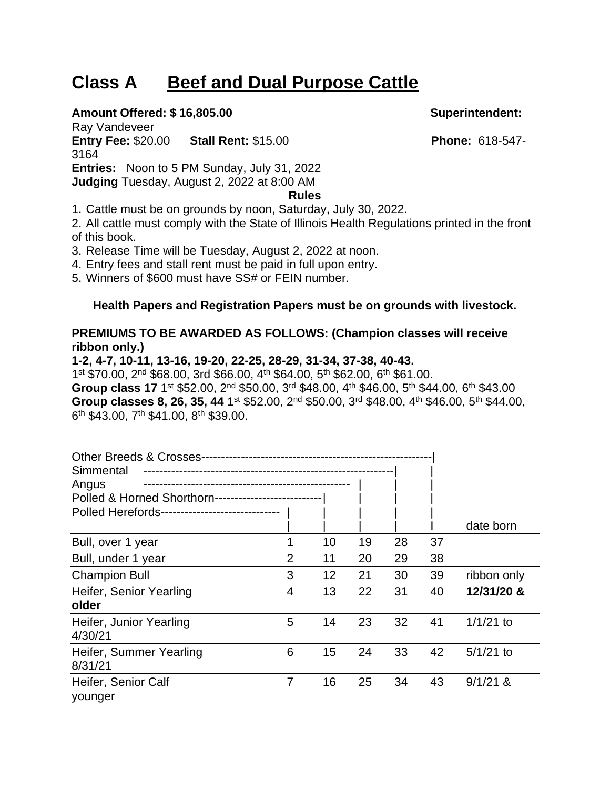# **Class A Beef and Dual Purpose Cattle**

## **Amount Offered: \$ 16,805.00 Superintendent:**

Ray Vandeveer **Entry Fee:** \$20.00 **Stall Rent:** \$15.00 **Phone:** 618-547- 3164 **Entries:** Noon to 5 PM Sunday, July 31, 2022 **Judging** Tuesday, August 2, 2022 at 8:00 AM

**Rules**

1. Cattle must be on grounds by noon, Saturday, July 30, 2022.

2. All cattle must comply with the State of Illinois Health Regulations printed in the front of this book.

3. Release Time will be Tuesday, August 2, 2022 at noon.

4. Entry fees and stall rent must be paid in full upon entry.

5. Winners of \$600 must have SS# or FEIN number.

### **Health Papers and Registration Papers must be on grounds with livestock.**

## **PREMIUMS TO BE AWARDED AS FOLLOWS: (Champion classes will receive ribbon only.)**

**1-2, 4-7, 10-11, 13-16, 19-20, 22-25, 28-29, 31-34, 37-38, 40-43.** 1 st \$70.00, 2nd \$68.00, 3rd \$66.00, 4th \$64.00, 5th \$62.00, 6th \$61.00. **Group class 17** 1<sup>st</sup> \$52.00, 2<sup>nd</sup> \$50.00, 3<sup>rd</sup> \$48.00, 4<sup>th</sup> \$46.00, 5<sup>th</sup> \$44.00, 6<sup>th</sup> \$43.00 Group classes 8, 26, 35, 44 1<sup>st</sup> \$52.00, 2<sup>nd</sup> \$50.00, 3<sup>rd</sup> \$48.00, 4<sup>th</sup> \$46.00, 5<sup>th</sup> \$44.00, 6<sup>th</sup> \$43.00, 7<sup>th</sup> \$41.00, 8<sup>th</sup> \$39.00.

| <b>Other Breeds &amp; Crosses--</b><br>Simmental<br>Angus |   |    |    |    |    |             |  |  |  |  |  |
|-----------------------------------------------------------|---|----|----|----|----|-------------|--|--|--|--|--|
| Polled & Horned Shorthorn---<br>----------------          |   |    |    |    |    |             |  |  |  |  |  |
| Polled Herefords-<br>----------------------               |   |    |    |    |    |             |  |  |  |  |  |
|                                                           |   |    |    |    |    | date born   |  |  |  |  |  |
| Bull, over 1 year                                         |   | 10 | 19 | 28 | 37 |             |  |  |  |  |  |
| Bull, under 1 year                                        | 2 | 11 | 20 | 29 | 38 |             |  |  |  |  |  |
| <b>Champion Bull</b>                                      | 3 | 12 | 21 | 30 | 39 | ribbon only |  |  |  |  |  |
| Heifer, Senior Yearling<br>older                          | 4 | 13 | 22 | 31 | 40 | 12/31/20 &  |  |  |  |  |  |
| Heifer, Junior Yearling<br>4/30/21                        | 5 | 14 | 23 | 32 | 41 | $1/1/21$ to |  |  |  |  |  |
| Heifer, Summer Yearling<br>8/31/21                        | 6 | 15 | 24 | 33 | 42 | $5/1/21$ to |  |  |  |  |  |
| Heifer, Senior Calf<br>younger                            | 7 | 16 | 25 | 34 | 43 | $9/1/21$ &  |  |  |  |  |  |